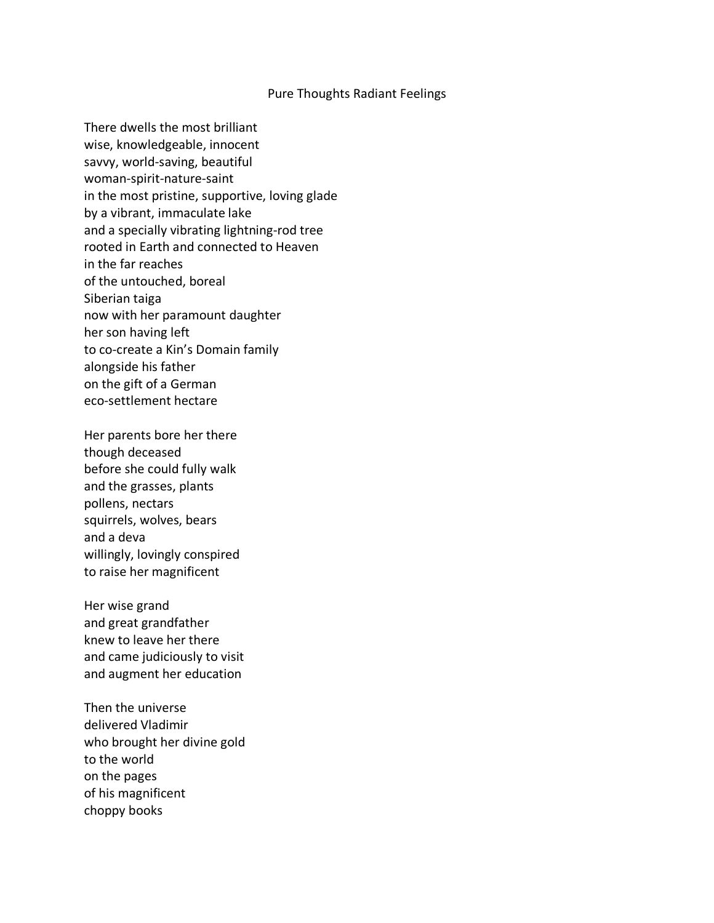## Pure Thoughts Radiant Feelings

There dwells the most brilliant wise, knowledgeable, innocent savvy, world-saving, beautiful woman-spirit-nature-saint in the most pristine, supportive, loving glade by a vibrant, immaculate lake and a specially vibrating lightning-rod tree rooted in Earth and connected to Heaven in the far reaches of the untouched, boreal Siberian taiga now with her paramount daughter her son having left to co-create a Kin's Domain family alongside his father on the gift of a German eco-settlement hectare

Her parents bore her there though deceased before she could fully walk and the grasses, plants pollens, nectars squirrels, wolves, bears and a deva willingly, lovingly conspired to raise her magnificent

Her wise grand and great grandfather knew to leave her there and came judiciously to visit and augment her education

Then the universe delivered Vladimir who brought her divine gold to the world on the pages of his magnificent choppy books